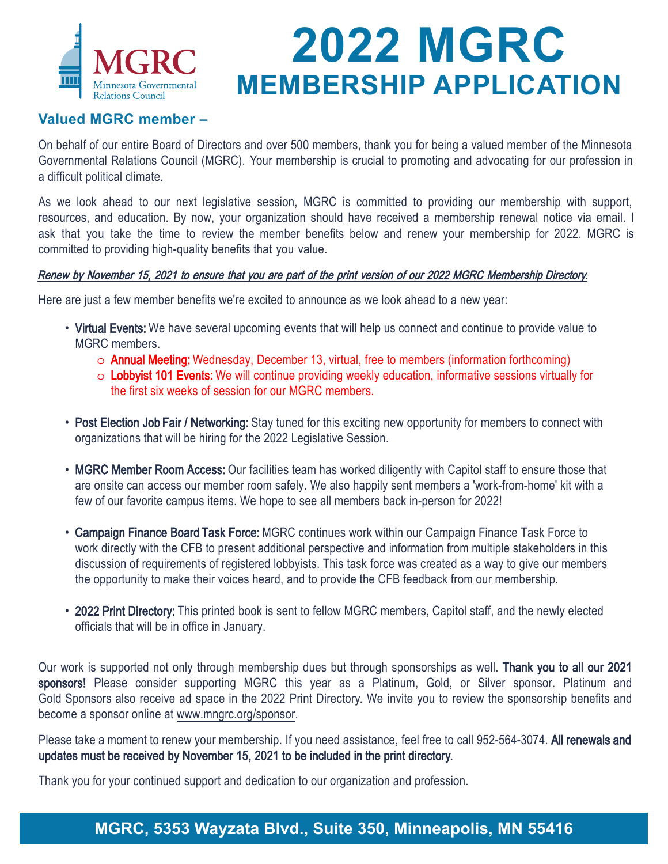

# **2022 MGRC MEMBERSHIP APPLICATION**

#### **Valued MGRC member –**

On behalf of our entire Board of Directors and over 500 members, thank you for being a valued member of the Minnesota Governmental Relations Council (MGRC). Your membership is crucial to promoting and advocating for our profession in a difficult political climate.

As we look ahead to our next legislative session, MGRC is committed to providing our membership with support, resources, and education. By now, your organization should have received a membership renewal notice via email. I ask that you take the time to review the member benefits below and renew your membership for 2022. MGRC is committed to providing high-quality benefits that you value.

#### Renew by November 15, 2021 to ensure that you are part of the print version of our 2022 MGRC Membership Directory.

Here are just a few member benefits we're excited to announce as we look ahead to a new year:

- Virtual Events: We have several upcoming events that will help us connect and continue to provide value to MGRC members.
	- o Annual Meeting: Wednesday, December 13, virtual, free to members (information forthcoming)
	- o Lobbyist 101 Events: We will continue providing weekly education, informative sessions virtually for the first six weeks of session for our MGRC members.
- Post Election Job Fair / Networking: Stay tuned for this exciting new opportunity for members to connect with organizations that will be hiring for the 2022 Legislative Session.
- MGRC Member Room Access: Our facilities team has worked diligently with Capitol staff to ensure those that are onsite can access our member room safely. We also happily sent members a 'work-from-home' kit with a few of our favorite campus items. We hope to see all members back in-person for 2022!
- Campaign Finance Board Task Force: MGRC continues work within our Campaign Finance Task Force to work directly with the CFB to present additional perspective and information from multiple stakeholders in this discussion of requirements of registered lobbyists. This task force was created as a way to give our members the opportunity to make their voices heard, and to provide the CFB feedback from our membership.
- 2022 Print Directory: This printed book is sent to fellow MGRC members, Capitol staff, and the newly elected officials that will be in office in January.

Our work is supported not only through membership dues but through sponsorships as well. Thank you to all our 2021 sponsors! Please consider supporting MGRC this year as a Platinum, Gold, or Silver sponsor. Platinum and Gold Sponsors also receive ad space in the 2022 Print Directory. We invite you to review the sponsorship benefits and become a sponsor online at www.mngrc.org/sponsor.

Please take a moment to renew your membership. If you need assistance, feel free to call 952-564-3074. All renewals and updates must be received by November 15, 2021 to be included in the print directory.

Thank you for your continued support and dedication to our organization and profession.

### **MGRC, 5353 Wayzata Blvd., Suite 350, Minneapolis, MN 55416**